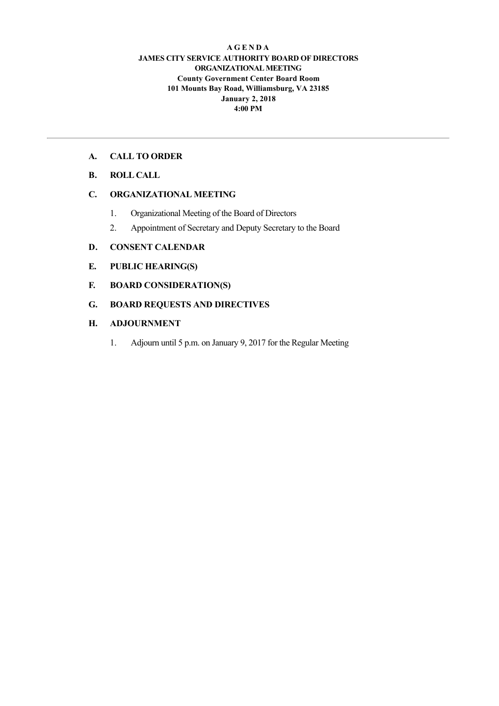#### **A G E N D A JAMES CITY SERVICE AUTHORITY BOARD OF DIRECTORS ORGANIZATIONAL MEETING County Government Center Board Room 101 Mounts Bay Road, Williamsburg, VA 23185 January 2, 2018 4:00 PM**

### **A. CALL TO ORDER**

# **B. ROLL CALL**

# **C. ORGANIZATIONAL MEETING**

- 1. Organizational Meeting of the Board of Directors
- 2. Appointment of Secretary and Deputy Secretary to the Board

## **D. CONSENT CALENDAR**

- **E. PUBLIC HEARING(S)**
- **F. BOARD CONSIDERATION(S)**
- **G. BOARD REQUESTS AND DIRECTIVES**

## **H. ADJOURNMENT**

1. Adjourn until 5 p.m. on January 9, 2017 for the Regular Meeting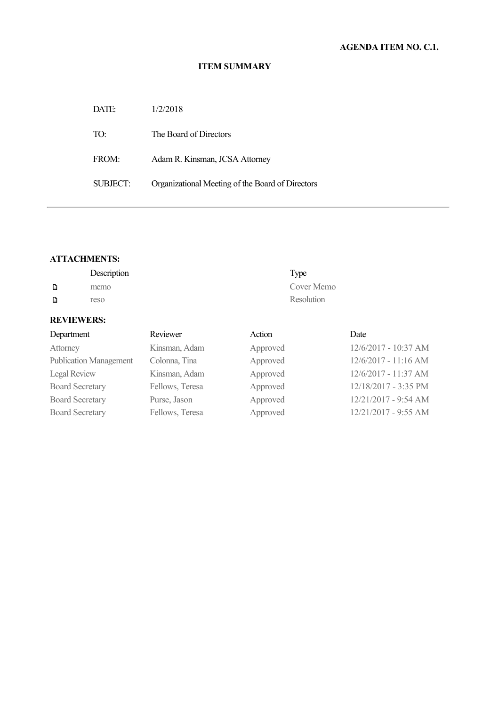#### **ITEM SUMMARY**

| DATE:    | 1/2/2018                                         |
|----------|--------------------------------------------------|
| TO:      | The Board of Directors                           |
| FROM:    | Adam R. Kinsman, JCSA Attorney                   |
| SUBJECT: | Organizational Meeting of the Board of Directors |

## **ATTACHMENTS:**

|   | Description | Type       |
|---|-------------|------------|
| D | memo        | Cover Memo |
| D | reso        | Resolution |

# **REVIEWERS:**

| Department                    | Reviewer        | Action   | Date                 |
|-------------------------------|-----------------|----------|----------------------|
| Attorney                      | Kinsman, Adam   | Approved | 12/6/2017 - 10:37 AM |
| <b>Publication Management</b> | Colonna, Tina   | Approved | 12/6/2017 - 11:16 AM |
| <b>Legal Review</b>           | Kinsman, Adam   | Approved | 12/6/2017 - 11:37 AM |
| <b>Board Secretary</b>        | Fellows, Teresa | Approved | 12/18/2017 - 3:35 PM |
| <b>Board Secretary</b>        | Purse, Jason    | Approved | 12/21/2017 - 9:54 AM |
| <b>Board Secretary</b>        | Fellows, Teresa | Approved | 12/21/2017 - 9:55 AM |
|                               |                 |          |                      |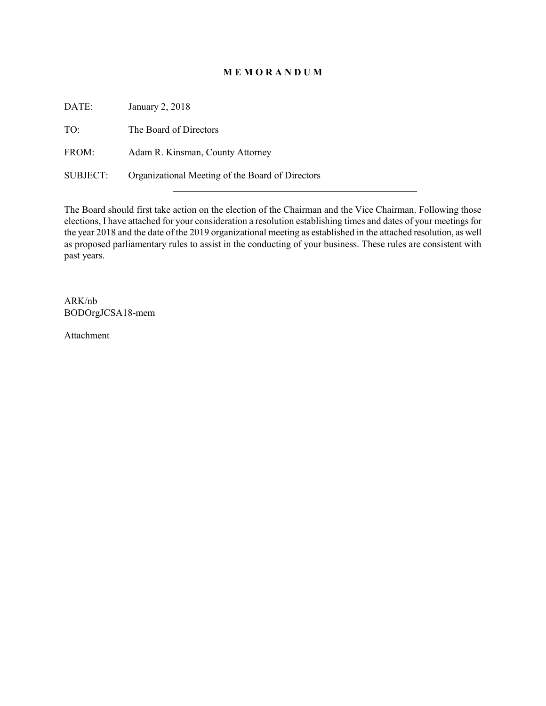## **M E M O R A N D U M**

DATE: January 2, 2018 TO: The Board of Directors FROM: Adam R. Kinsman, County Attorney SUBJECT: Organizational Meeting of the Board of Directors

The Board should first take action on the election of the Chairman and the Vice Chairman. Following those elections, I have attached for your consideration a resolution establishing times and dates of your meetings for the year 2018 and the date of the 2019 organizational meeting as established in the attached resolution, as well as proposed parliamentary rules to assist in the conducting of your business. These rules are consistent with past years.

ARK/nb BODOrgJCSA18-mem

Attachment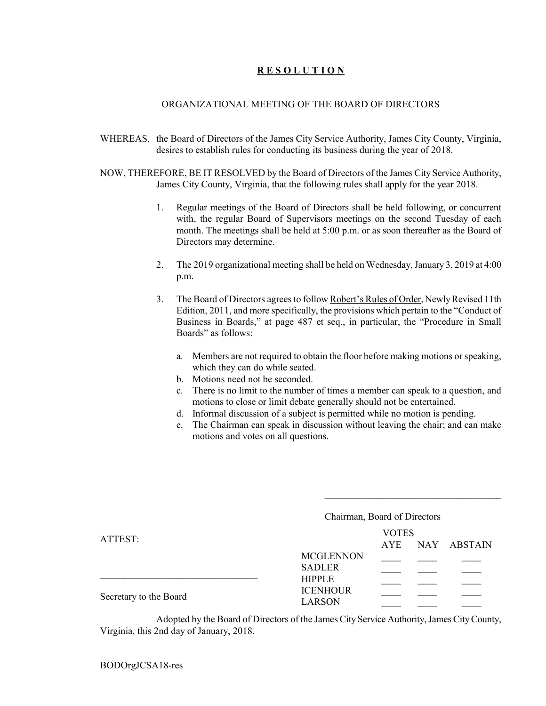## **R E S O L U T I O N**

#### ORGANIZATIONAL MEETING OF THE BOARD OF DIRECTORS

- WHEREAS, the Board of Directors of the James City Service Authority, James City County, Virginia, desires to establish rules for conducting its business during the year of 2018.
- NOW, THEREFORE, BE IT RESOLVED by the Board of Directors of the James City Service Authority, James City County, Virginia, that the following rules shall apply for the year 2018.
	- 1. Regular meetings of the Board of Directors shall be held following, or concurrent with, the regular Board of Supervisors meetings on the second Tuesday of each month. The meetings shall be held at 5:00 p.m. or as soon thereafter as the Board of Directors may determine.
	- 2. The 2019 organizational meeting shall be held on Wednesday, January 3, 2019 at 4:00 p.m.
	- 3. The Board of Directors agrees to follow Robert's Rules of Order, Newly Revised 11th Edition, 2011, and more specifically, the provisions which pertain to the "Conduct of Business in Boards," at page 487 et seq., in particular, the "Procedure in Small Boards" as follows:
		- a. Members are not required to obtain the floor before making motions or speaking, which they can do while seated.
		- b. Motions need not be seconded.
		- c. There is no limit to the number of times a member can speak to a question, and motions to close or limit debate generally should not be entertained.
		- d. Informal discussion of a subject is permitted while no motion is pending.
		- e. The Chairman can speak in discussion without leaving the chair; and can make motions and votes on all questions.

\_\_\_\_\_\_\_\_\_\_\_\_\_\_\_\_\_\_\_\_\_\_\_\_\_\_\_\_\_\_\_\_\_\_\_\_

|                        | Chairman, Board of Directors   |              |             |
|------------------------|--------------------------------|--------------|-------------|
|                        |                                | <b>VOTES</b> |             |
| ATTEST:                |                                | AYE          | NAY ABSTAIN |
|                        | <b>MCGLENNON</b>               |              |             |
|                        | <b>SADLER</b><br><b>HIPPLE</b> |              |             |
|                        | <b>ICENHOUR</b>                |              |             |
| Secretary to the Board | <b>LARSON</b>                  |              |             |
|                        |                                |              |             |

Adopted by the Board of Directors of the James City Service Authority, James City County, Virginia, this 2nd day of January, 2018.

BODOrgJCSA18-res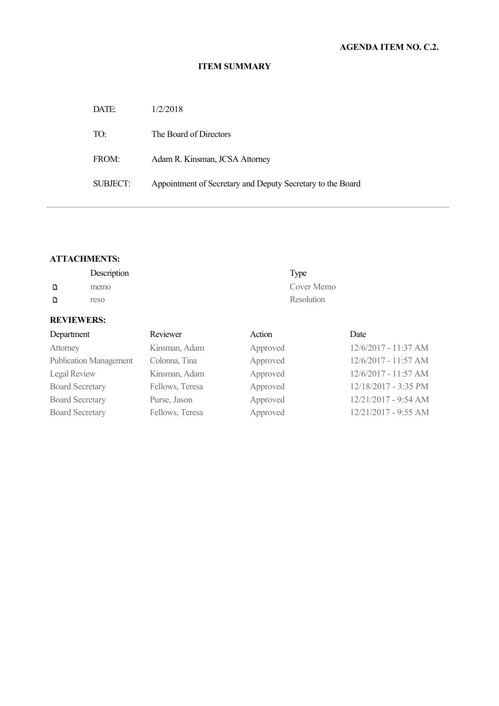#### **ITEM SUMMARY**

| DATE:    | 1/2/2018                                                   |
|----------|------------------------------------------------------------|
| TO:      | The Board of Directors                                     |
| FROM:    | Adam R. Kinsman, JCSA Attorney                             |
| SUBJECT: | Appointment of Secretary and Deputy Secretary to the Board |

## **ATTACHMENTS:**

|   | Description | Type       |
|---|-------------|------------|
| D | memo        | Cover Memo |
| D | reso        | Resolution |

# **REVIEWERS:**

| Department                    | Reviewer        | Action   | Date                 |
|-------------------------------|-----------------|----------|----------------------|
| Attorney                      | Kinsman, Adam   | Approved | 12/6/2017 - 11:37 AM |
| <b>Publication Management</b> | Colonna, Tina   | Approved | 12/6/2017 - 11:57 AM |
| <b>Legal Review</b>           | Kinsman, Adam   | Approved | 12/6/2017 - 11:57 AM |
| <b>Board Secretary</b>        | Fellows, Teresa | Approved | 12/18/2017 - 3:35 PM |
| <b>Board Secretary</b>        | Purse, Jason    | Approved | 12/21/2017 - 9:54 AM |
| <b>Board Secretary</b>        | Fellows, Teresa | Approved | 12/21/2017 - 9:55 AM |
|                               |                 |          |                      |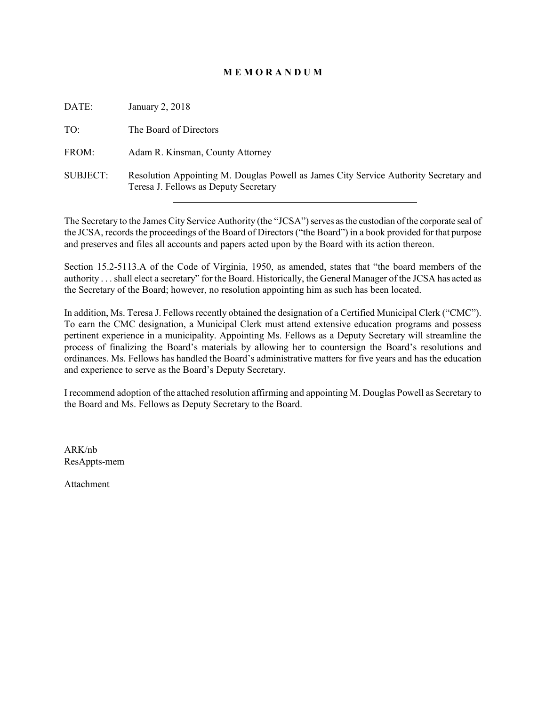### **M E M O R A N D U M**

| DATE:           | January 2, 2018                                                                                                                |
|-----------------|--------------------------------------------------------------------------------------------------------------------------------|
| TO:             | The Board of Directors                                                                                                         |
| FROM:           | Adam R. Kinsman, County Attorney                                                                                               |
| <b>SUBJECT:</b> | Resolution Appointing M. Douglas Powell as James City Service Authority Secretary and<br>Teresa J. Fellows as Deputy Secretary |

The Secretary to the James City Service Authority (the "JCSA") serves as the custodian of the corporate seal of the JCSA, records the proceedings of the Board of Directors ("the Board") in a book provided for that purpose and preserves and files all accounts and papers acted upon by the Board with its action thereon.

Section 15.2-5113.A of the Code of Virginia, 1950, as amended, states that "the board members of the authority . . . shall elect a secretary" for the Board. Historically, the General Manager of the JCSA has acted as the Secretary of the Board; however, no resolution appointing him as such has been located.

In addition, Ms. Teresa J. Fellows recently obtained the designation of a Certified Municipal Clerk ("CMC"). To earn the CMC designation, a Municipal Clerk must attend extensive education programs and possess pertinent experience in a municipality. Appointing Ms. Fellows as a Deputy Secretary will streamline the process of finalizing the Board's materials by allowing her to countersign the Board's resolutions and ordinances. Ms. Fellows has handled the Board's administrative matters for five years and has the education and experience to serve as the Board's Deputy Secretary.

I recommend adoption of the attached resolution affirming and appointing M. Douglas Powell as Secretary to the Board and Ms. Fellows as Deputy Secretary to the Board.

ARK/nb ResAppts-mem

Attachment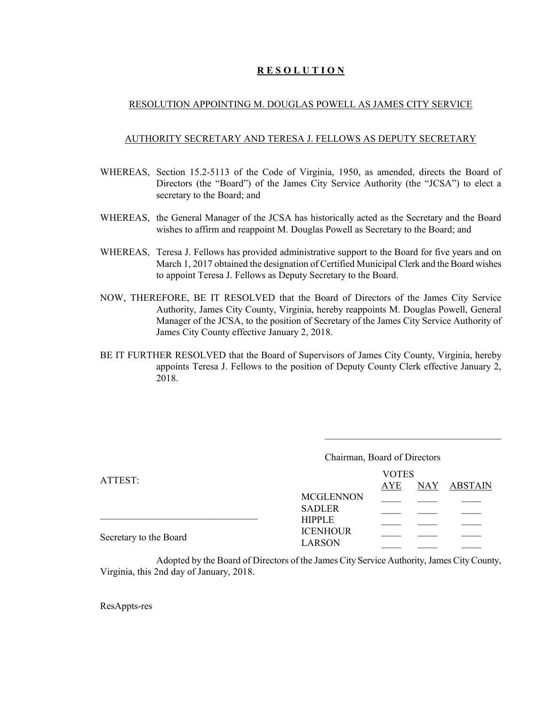## **R E S O L U T I O N**

#### RESOLUTION APPOINTING M. DOUGLAS POWELL AS JAMES CITY SERVICE

#### AUTHORITY SECRETARY AND TERESA J. FELLOWS AS DEPUTY SECRETARY

- WHEREAS, Section 15.2-5113 of the Code of Virginia, 1950, as amended, directs the Board of Directors (the "Board") of the James City Service Authority (the "JCSA") to elect a secretary to the Board; and
- WHEREAS, the General Manager of the JCSA has historically acted as the Secretary and the Board wishes to affirm and reappoint M. Douglas Powell as Secretary to the Board; and
- WHEREAS, Teresa J. Fellows has provided administrative support to the Board for five years and on March 1, 2017 obtained the designation of Certified Municipal Clerk and the Board wishes to appoint Teresa J. Fellows as Deputy Secretary to the Board.
- NOW, THEREFORE, BE IT RESOLVED that the Board of Directors of the James City Service Authority, James City County, Virginia, hereby reappoints M. Douglas Powell, General Manager of the JCSA, to the position of Secretary of the James City Service Authority of James City County effective January 2, 2018.
- BE IT FURTHER RESOLVED that the Board of Supervisors of James City County, Virginia, hereby appoints Teresa J. Fellows to the position of Deputy County Clerk effective January 2, 2018.

\_\_\_\_\_\_\_\_\_\_\_\_\_\_\_\_\_\_\_\_\_\_\_\_\_\_\_\_\_\_\_\_\_\_\_\_

| <b>VOTES</b> |                                     |             |  |
|--------------|-------------------------------------|-------------|--|
| AYE          |                                     | NAY ABSTAIN |  |
|              |                                     |             |  |
|              |                                     |             |  |
|              |                                     |             |  |
|              |                                     |             |  |
|              | <b>MCGLENNON</b><br><b>ICENHOUR</b> |             |  |

Adopted by the Board of Directors of the James City Service Authority, James City County, Virginia, this 2nd day of January, 2018.

ResAppts-res